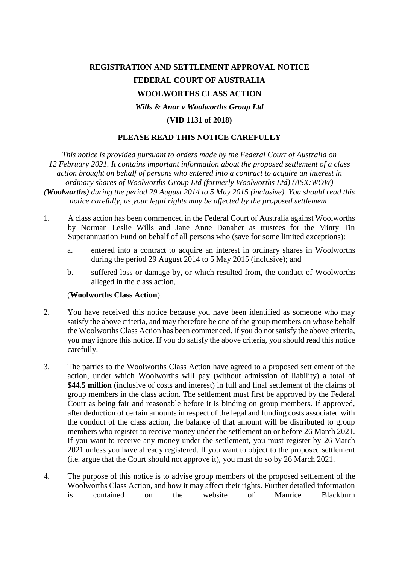## **REGISTRATION AND SETTLEMENT APPROVAL NOTICE FEDERAL COURT OF AUSTRALIA WOOLWORTHS CLASS ACTION** *Wills & Anor v Woolworths Group Ltd* **(VID 1131 of 2018)**

## **PLEASE READ THIS NOTICE CAREFULLY**

*This notice is provided pursuant to orders made by the Federal Court of Australia on 12 February 2021. It contains important information about the proposed settlement of a class action brought on behalf of persons who entered into a contract to acquire an interest in ordinary shares of Woolworths Group Ltd (formerly Woolworths Ltd) (ASX:WOW) (Woolworths) during the period 29 August 2014 to 5 May 2015 (inclusive). You should read this notice carefully, as your legal rights may be affected by the proposed settlement.*

- 1. A class action has been commenced in the Federal Court of Australia against Woolworths by Norman Leslie Wills and Jane Anne Danaher as trustees for the Minty Tin Superannuation Fund on behalf of all persons who (save for some limited exceptions):
	- a. entered into a contract to acquire an interest in ordinary shares in Woolworths during the period 29 August 2014 to 5 May 2015 (inclusive); and
	- b. suffered loss or damage by, or which resulted from, the conduct of Woolworths alleged in the class action,

## (**Woolworths Class Action**).

- 2. You have received this notice because you have been identified as someone who may satisfy the above criteria, and may therefore be one of the group members on whose behalf the Woolworths Class Action has been commenced. If you do not satisfy the above criteria, you may ignore this notice. If you do satisfy the above criteria, you should read this notice carefully.
- 3. The parties to the Woolworths Class Action have agreed to a proposed settlement of the action, under which Woolworths will pay (without admission of liability) a total of **\$44.5 million** (inclusive of costs and interest) in full and final settlement of the claims of group members in the class action. The settlement must first be approved by the Federal Court as being fair and reasonable before it is binding on group members. If approved, after deduction of certain amounts in respect of the legal and funding costs associated with the conduct of the class action, the balance of that amount will be distributed to group members who register to receive money under the settlement on or before 26 March 2021. If you want to receive any money under the settlement, you must register by 26 March 2021 unless you have already registered. If you want to object to the proposed settlement (i.e. argue that the Court should not approve it), you must do so by 26 March 2021.
- 4. The purpose of this notice is to advise group members of the proposed settlement of the Woolworths Class Action, and how it may affect their rights. Further detailed information is contained on the website of Maurice Blackburn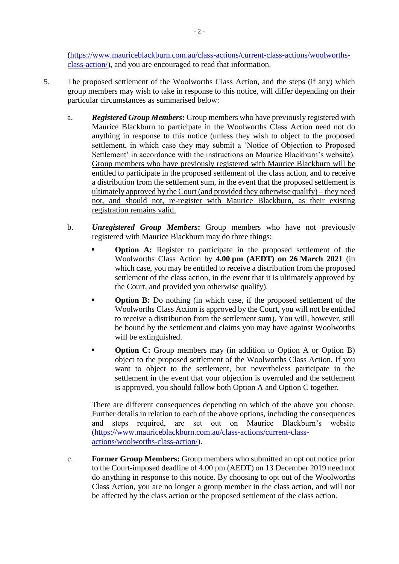[\(https://www.mauriceblackburn.com.au/class-actions/current-class-actions/woolworths](https://www.mauriceblackburn.com.au/class-actions/current-class-actions/woolworths-class-action/)[class-action/\)](https://www.mauriceblackburn.com.au/class-actions/current-class-actions/woolworths-class-action/), and you are encouraged to read that information.

- 5. The proposed settlement of the Woolworths Class Action, and the steps (if any) which group members may wish to take in response to this notice, will differ depending on their particular circumstances as summarised below:
	- a. *Registered Group Members***:** Group members who have previously registered with Maurice Blackburn to participate in the Woolworths Class Action need not do anything in response to this notice (unless they wish to object to the proposed settlement, in which case they may submit a 'Notice of Objection to Proposed Settlement' in accordance with the instructions on Maurice Blackburn's website). Group members who have previously registered with Maurice Blackburn will be entitled to participate in the proposed settlement of the class action, and to receive a distribution from the settlement sum, in the event that the proposed settlement is ultimately approved by the Court (and provided they otherwise qualify) – they need not, and should not, re-register with Maurice Blackburn, as their existing registration remains valid.
	- b. *Unregistered Group Members***:** Group members who have not previously registered with Maurice Blackburn may do three things:
		- **Option A:** Register to participate in the proposed settlement of the Woolworths Class Action by **4.00 pm (AEDT) on 26 March 2021** (in which case, you may be entitled to receive a distribution from the proposed settlement of the class action, in the event that it is ultimately approved by the Court, and provided you otherwise qualify).
		- **Option B:** Do nothing (in which case, if the proposed settlement of the Woolworths Class Action is approved by the Court, you will not be entitled to receive a distribution from the settlement sum). You will, however, still be bound by the settlement and claims you may have against Woolworths will be extinguished.
		- **Option C:** Group members may (in addition to Option A or Option B) object to the proposed settlement of the Woolworths Class Action. If you want to object to the settlement, but nevertheless participate in the settlement in the event that your objection is overruled and the settlement is approved, you should follow both Option A and Option C together.

There are different consequences depending on which of the above you choose. Further details in relation to each of the above options, including the consequences and steps required, are set out on Maurice Blackburn's website [\(https://www.mauriceblackburn.com.au/class-actions/current-class](https://www.mauriceblackburn.com.au/class-actions/current-class-actions/woolworths-class-action/)[actions/woolworths-class-action/\)](https://www.mauriceblackburn.com.au/class-actions/current-class-actions/woolworths-class-action/).

c. **Former Group Members:** Group members who submitted an opt out notice prior to the Court-imposed deadline of 4.00 pm (AEDT) on 13 December 2019 need not do anything in response to this notice. By choosing to opt out of the Woolworths Class Action, you are no longer a group member in the class action, and will not be affected by the class action or the proposed settlement of the class action.